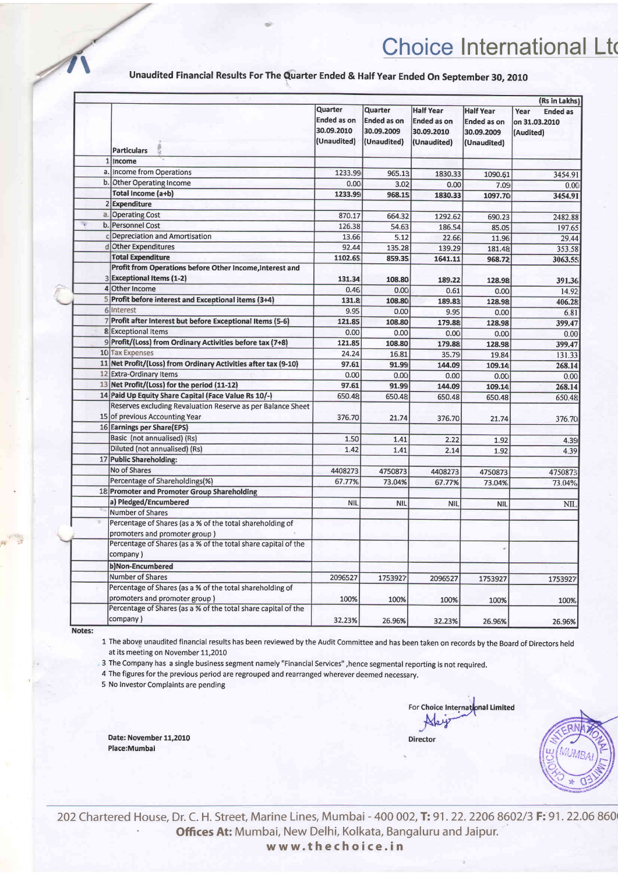## **Choice International Ltd**

Unaudited Financial Results For The Quarter Ended & Half Year Ended On September 30, 2010

|   | <b>Particulars</b>                                                                    | Quarter<br><b>Ended as on</b><br>30.09.2010<br>(Unaudited) | Quarter<br><b>Ended as on</b><br>30.09.2009<br>(Unaudited) | <b>Half Year</b><br><b>Ended as on</b><br>30.09.2010<br>(Unaudited) | <b>Half Year</b><br><b>Ended as on</b><br>30.09.2009<br>(Unaudited) | (Rs in Lakhs)<br>Year<br><b>Ended as</b><br>on 31.03.2010<br>(Audited) |
|---|---------------------------------------------------------------------------------------|------------------------------------------------------------|------------------------------------------------------------|---------------------------------------------------------------------|---------------------------------------------------------------------|------------------------------------------------------------------------|
|   | 1 Income                                                                              |                                                            |                                                            |                                                                     |                                                                     |                                                                        |
|   | a. Income from Operations                                                             | 1233.99                                                    | 965.13                                                     | 1830.33                                                             |                                                                     |                                                                        |
|   | b. Other Operating Income                                                             | 0.00                                                       | 3.02                                                       | 0.00                                                                | 1090.61                                                             | 3454.91                                                                |
|   | Total Income (a+b)                                                                    | 1233.99                                                    | 968.15                                                     | 1830.33                                                             | 7.09<br>1097.70                                                     | 0.00<br>3454.91                                                        |
|   | 2 Expenditure                                                                         |                                                            |                                                            |                                                                     |                                                                     |                                                                        |
|   | a. Operating Cost                                                                     | 870.17                                                     | 664.32                                                     | 1292.62                                                             |                                                                     |                                                                        |
| 熘 | b. Personnel Cost                                                                     | 126.38                                                     | 54.63                                                      | 186.54                                                              | 690.23                                                              | 2482.88                                                                |
|   | c Depreciation and Amortisation                                                       | 13.66                                                      | 5.12                                                       | 22.66                                                               | 85.05                                                               | 197.65                                                                 |
|   | d Other Expenditures                                                                  | 92.44                                                      | 135.28                                                     | 139.29                                                              | 11.96                                                               | 29.44                                                                  |
|   | <b>Total Expenditure</b>                                                              | 1102.65                                                    | 859.35                                                     |                                                                     | 181.48                                                              | 353.58                                                                 |
|   | Profit from Operations before Other Income, Interest and<br>3 Exceptional Items (1-2) | 131.34                                                     | 108.80                                                     | 1641.11<br>189.22                                                   | 968.72<br>128.98                                                    | 3063.55                                                                |
|   | 4 Other Income                                                                        | 0.46                                                       | 0.00                                                       | 0.61                                                                | 0.00                                                                | 391.36                                                                 |
|   | 5 Profit before interest and Exceptional items (3+4)                                  | 131.8                                                      | 108.80                                                     | 189.83                                                              |                                                                     | 14.92                                                                  |
|   | 6 Interest                                                                            | 9.95                                                       | 0.00                                                       | 9.95                                                                | 128.98<br>0.00                                                      | 406.28<br>6.81                                                         |
|   | 7 Profit after Interest but before Exceptional Items (5-6)                            | 121.85                                                     | 108.80                                                     | 179.88                                                              | 128.98                                                              | 399.47                                                                 |
|   | 8 Exceptional Items                                                                   | 0.00                                                       | 0.00                                                       | 0.00                                                                | 0.00                                                                |                                                                        |
|   | 9 Profit/(Loss) from Ordinary Activities before tax (7+8)                             | 121.85                                                     | 108.80                                                     | 179.88                                                              | 128.98                                                              | 0.00                                                                   |
|   | 10 Tax Expenses                                                                       | 24.24                                                      | 16.81                                                      | 35.79                                                               | 19.84                                                               | 399.47<br>131.33                                                       |
|   | 11 Net Profit/(Loss) from Ordinary Activities after tax (9-10)                        | 97.61                                                      | 91.99                                                      | 144.09                                                              | 109.14                                                              |                                                                        |
|   | 12 Extra-Ordinary Items                                                               | 0.00                                                       | 0.00                                                       | 0.00                                                                | 0.00                                                                | 268.14<br>0.00                                                         |
|   | 13 Net Profit/(Loss) for the period (11-12)                                           | 97.61                                                      | 91.99                                                      | 144.09                                                              | 109.14                                                              | 268.14                                                                 |
|   | 14 Paid Up Equity Share Capital (Face Value Rs 10/-)                                  | 650.48                                                     | 650.48                                                     | 650.48                                                              | 650.48                                                              | 650.48                                                                 |
|   | Reserves excluding Revaluation Reserve as per Balance Sheet                           |                                                            |                                                            |                                                                     |                                                                     |                                                                        |
|   | 15 of previous Accounting Year                                                        | 376.70                                                     | 21.74                                                      | 376.70                                                              | 21.74                                                               | 376.70                                                                 |
|   | 16 Earnings per Share(EPS)                                                            |                                                            |                                                            |                                                                     |                                                                     |                                                                        |
|   | Basic (not annualised) (Rs)                                                           | 1.50                                                       | 1.41                                                       | 2.22                                                                |                                                                     |                                                                        |
|   | Diluted (not annualised) (Rs)                                                         | 1.42                                                       | 1.41                                                       | 2.14                                                                | 1.92<br>1.92                                                        | 4.39<br>4.39                                                           |
|   | 17 Public Shareholding:                                                               |                                                            |                                                            |                                                                     |                                                                     |                                                                        |
|   | No of Shares                                                                          | 4408273                                                    | 4750873                                                    | 4408273                                                             | 4750873                                                             | 4750873                                                                |
|   | Percentage of Shareholdings(%)                                                        | 67.77%                                                     | 73.04%                                                     | 67.77%                                                              | 73.04%                                                              | 73.04%                                                                 |
|   | 18 Promoter and Promoter Group Shareholding                                           |                                                            |                                                            |                                                                     |                                                                     |                                                                        |
|   | a) Pledged/Encumbered                                                                 | NIL                                                        | <b>NIL</b>                                                 | <b>NIL</b>                                                          | <b>NIL</b>                                                          | NIL                                                                    |
|   | Number of Shares                                                                      |                                                            |                                                            |                                                                     |                                                                     |                                                                        |
|   | Percentage of Shares (as a % of the total shareholding of                             |                                                            |                                                            |                                                                     |                                                                     |                                                                        |
|   | promoters and promoter group)                                                         |                                                            |                                                            |                                                                     |                                                                     |                                                                        |
|   | Percentage of Shares (as a % of the total share capital of the                        |                                                            |                                                            |                                                                     |                                                                     |                                                                        |
|   | company)                                                                              |                                                            |                                                            |                                                                     |                                                                     |                                                                        |
|   | b)Non-Encumbered                                                                      |                                                            |                                                            |                                                                     |                                                                     |                                                                        |
|   | Number of Shares                                                                      | 2096527                                                    | 1753927                                                    | 2096527                                                             | 1753927                                                             | 1753927                                                                |
|   | Percentage of Shares (as a % of the total shareholding of                             |                                                            |                                                            |                                                                     |                                                                     |                                                                        |
|   | promoters and promoter group)                                                         | 100%                                                       | 100%                                                       | 100%                                                                | 100%                                                                | 100%                                                                   |
|   | Percentage of Shares (as a % of the total share capital of the                        |                                                            |                                                            |                                                                     |                                                                     |                                                                        |
|   | company)                                                                              | 32.23%                                                     | 26.96%                                                     | 32.23%                                                              | 26.96%                                                              | 26.96%                                                                 |

Notes:

1 The above unaudited financial results has been reviewed by the Audit Committee and has been taken on records by the Board of Directors held at its meeting on November 11,2010

3 The Company has a single business segment namely "Financial Services", hence segmental reporting is not required.

4 The figures for the previous period are regrouped and rearranged wherever deemed necessary.

5 No Investor Complaints are pending

Date: November 11,2010 Place:Mumbai

For Choice International Limited **Director** 



202 Chartered House, Dr. C. H. Street, Marine Lines, Mumbai - 400 002, T: 91. 22. 2206 8602/3 F: 91. 22.06 860 Offices At: Mumbai, New Delhi, Kolkata, Bangaluru and Jaipur. www.thechoice.in